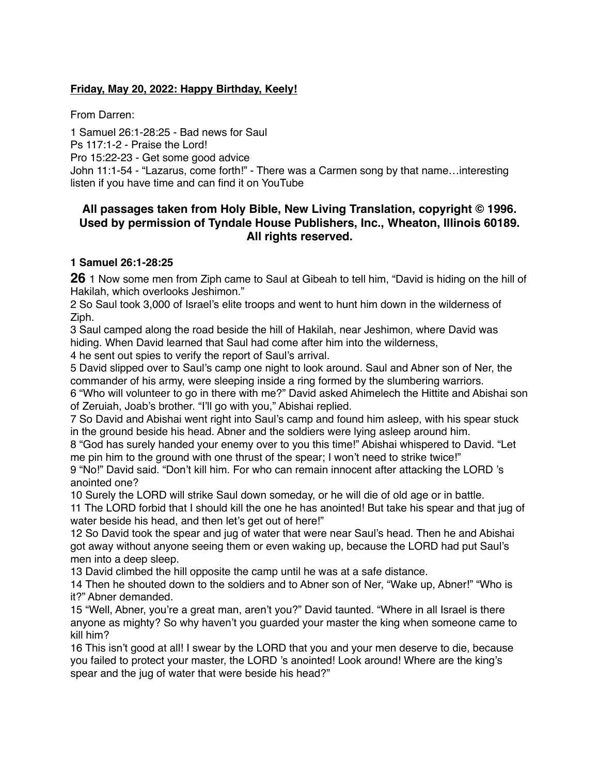### **Friday, May 20, 2022: Happy Birthday, Keely!**

From Darren:

1 Samuel 26:1-28:25 - Bad news for Saul Ps 117:1-2 - Praise the Lord! Pro 15:22-23 - Get some good advice John 11:1-54 - "Lazarus, come forth!" - There was a Carmen song by that name…interesting listen if you have time and can find it on YouTube

## **All passages taken from Holy Bible, [New Living Translation](http://www.newlivingtranslation.com/), copyright © 1996. Used by permission of [Tyndale House Publishers](http://tyndale.com/), Inc., Wheaton, Illinois 60189. All rights reserved.**

#### **1 Samuel 26:1-28:25**

**26** 1 Now some men from Ziph came to Saul at Gibeah to tell him, "David is hiding on the hill of Hakilah, which overlooks Jeshimon."

2 So Saul took 3,000 of Israel's elite troops and went to hunt him down in the wilderness of Ziph.

3 Saul camped along the road beside the hill of Hakilah, near Jeshimon, where David was hiding. When David learned that Saul had come after him into the wilderness,

4 he sent out spies to verify the report of Saul's arrival.

5 David slipped over to Saul's camp one night to look around. Saul and Abner son of Ner, the commander of his army, were sleeping inside a ring formed by the slumbering warriors.

6 "Who will volunteer to go in there with me?" David asked Ahimelech the Hittite and Abishai son of Zeruiah, Joab's brother. "I'll go with you," Abishai replied.

7 So David and Abishai went right into Saul's camp and found him asleep, with his spear stuck in the ground beside his head. Abner and the soldiers were lying asleep around him.

8 "God has surely handed your enemy over to you this time!" Abishai whispered to David. "Let me pin him to the ground with one thrust of the spear; I won't need to strike twice!"

9 "No!" David said. "Don't kill him. For who can remain innocent after attacking the LORD 's anointed one?

10 Surely the LORD will strike Saul down someday, or he will die of old age or in battle.

11 The LORD forbid that I should kill the one he has anointed! But take his spear and that jug of water beside his head, and then let's get out of here!"

12 So David took the spear and jug of water that were near Saul's head. Then he and Abishai got away without anyone seeing them or even waking up, because the LORD had put Saul's men into a deep sleep.

13 David climbed the hill opposite the camp until he was at a safe distance.

14 Then he shouted down to the soldiers and to Abner son of Ner, "Wake up, Abner!" "Who is it?" Abner demanded.

15 "Well, Abner, you're a great man, aren't you?" David taunted. "Where in all Israel is there anyone as mighty? So why haven't you guarded your master the king when someone came to kill him?

16 This isn't good at all! I swear by the LORD that you and your men deserve to die, because you failed to protect your master, the LORD 's anointed! Look around! Where are the king's spear and the jug of water that were beside his head?"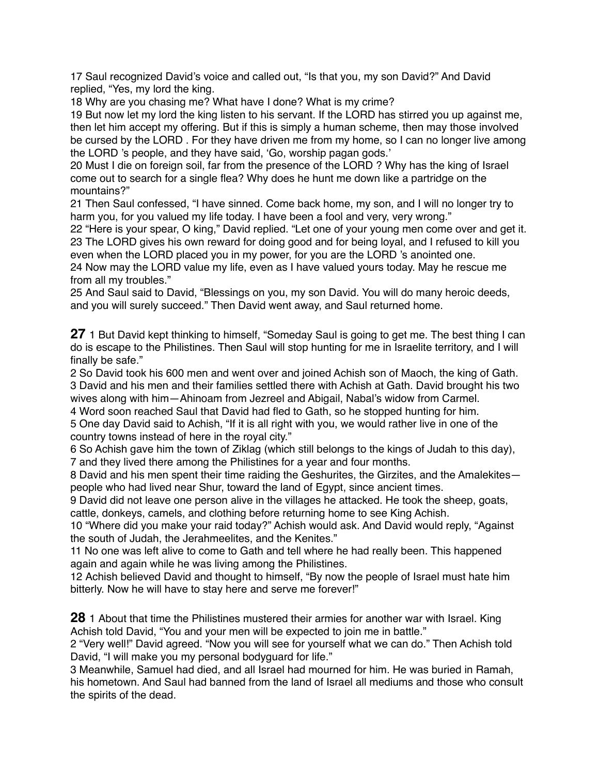17 Saul recognized David's voice and called out, "Is that you, my son David?" And David replied, "Yes, my lord the king.

18 Why are you chasing me? What have I done? What is my crime?

19 But now let my lord the king listen to his servant. If the LORD has stirred you up against me, then let him accept my offering. But if this is simply a human scheme, then may those involved be cursed by the LORD . For they have driven me from my home, so I can no longer live among the LORD 's people, and they have said, 'Go, worship pagan gods.'

20 Must I die on foreign soil, far from the presence of the LORD ? Why has the king of Israel come out to search for a single flea? Why does he hunt me down like a partridge on the mountains?"

21 Then Saul confessed, "I have sinned. Come back home, my son, and I will no longer try to harm you, for you valued my life today. I have been a fool and very, very wrong."

22 "Here is your spear, O king," David replied. "Let one of your young men come over and get it. 23 The LORD gives his own reward for doing good and for being loyal, and I refused to kill you even when the LORD placed you in my power, for you are the LORD 's anointed one.

24 Now may the LORD value my life, even as I have valued yours today. May he rescue me from all my troubles."

25 And Saul said to David, "Blessings on you, my son David. You will do many heroic deeds, and you will surely succeed." Then David went away, and Saul returned home.

**27** 1 But David kept thinking to himself, "Someday Saul is going to get me. The best thing I can do is escape to the Philistines. Then Saul will stop hunting for me in Israelite territory, and I will finally be safe."

2 So David took his 600 men and went over and joined Achish son of Maoch, the king of Gath. 3 David and his men and their families settled there with Achish at Gath. David brought his two wives along with him—Ahinoam from Jezreel and Abigail, Nabal's widow from Carmel.

4 Word soon reached Saul that David had fled to Gath, so he stopped hunting for him.

5 One day David said to Achish, "If it is all right with you, we would rather live in one of the country towns instead of here in the royal city."

6 So Achish gave him the town of Ziklag (which still belongs to the kings of Judah to this day), 7 and they lived there among the Philistines for a year and four months.

8 David and his men spent their time raiding the Geshurites, the Girzites, and the Amalekites people who had lived near Shur, toward the land of Egypt, since ancient times.

9 David did not leave one person alive in the villages he attacked. He took the sheep, goats, cattle, donkeys, camels, and clothing before returning home to see King Achish.

10 "Where did you make your raid today?" Achish would ask. And David would reply, "Against the south of Judah, the Jerahmeelites, and the Kenites."

11 No one was left alive to come to Gath and tell where he had really been. This happened again and again while he was living among the Philistines.

12 Achish believed David and thought to himself, "By now the people of Israel must hate him bitterly. Now he will have to stay here and serve me forever!"

**28** 1 About that time the Philistines mustered their armies for another war with Israel. King Achish told David, "You and your men will be expected to join me in battle."

2 "Very well!" David agreed. "Now you will see for yourself what we can do." Then Achish told David, "I will make you my personal bodyguard for life."

3 Meanwhile, Samuel had died, and all Israel had mourned for him. He was buried in Ramah, his hometown. And Saul had banned from the land of Israel all mediums and those who consult the spirits of the dead.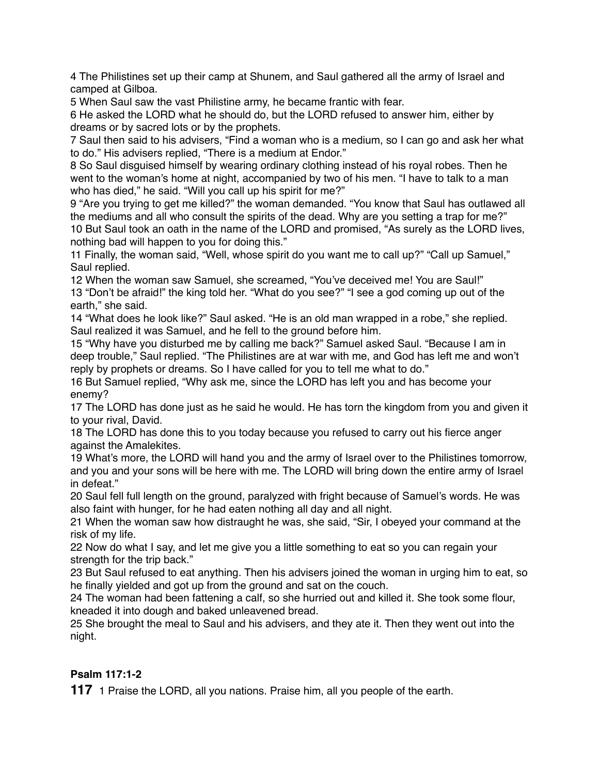4 The Philistines set up their camp at Shunem, and Saul gathered all the army of Israel and camped at Gilboa.

5 When Saul saw the vast Philistine army, he became frantic with fear.

6 He asked the LORD what he should do, but the LORD refused to answer him, either by dreams or by sacred lots or by the prophets.

7 Saul then said to his advisers, "Find a woman who is a medium, so I can go and ask her what to do." His advisers replied, "There is a medium at Endor."

8 So Saul disguised himself by wearing ordinary clothing instead of his royal robes. Then he went to the woman's home at night, accompanied by two of his men. "I have to talk to a man who has died," he said. "Will you call up his spirit for me?"

9 "Are you trying to get me killed?" the woman demanded. "You know that Saul has outlawed all the mediums and all who consult the spirits of the dead. Why are you setting a trap for me?" 10 But Saul took an oath in the name of the LORD and promised, "As surely as the LORD lives, nothing bad will happen to you for doing this."

11 Finally, the woman said, "Well, whose spirit do you want me to call up?" "Call up Samuel," Saul replied.

12 When the woman saw Samuel, she screamed, "You've deceived me! You are Saul!" 13 "Don't be afraid!" the king told her. "What do you see?" "I see a god coming up out of the earth," she said.

14 "What does he look like?" Saul asked. "He is an old man wrapped in a robe," she replied. Saul realized it was Samuel, and he fell to the ground before him.

15 "Why have you disturbed me by calling me back?" Samuel asked Saul. "Because I am in deep trouble," Saul replied. "The Philistines are at war with me, and God has left me and won't reply by prophets or dreams. So I have called for you to tell me what to do."

16 But Samuel replied, "Why ask me, since the LORD has left you and has become your enemy?

17 The LORD has done just as he said he would. He has torn the kingdom from you and given it to your rival, David.

18 The LORD has done this to you today because you refused to carry out his fierce anger against the Amalekites.

19 What's more, the LORD will hand you and the army of Israel over to the Philistines tomorrow, and you and your sons will be here with me. The LORD will bring down the entire army of Israel in defeat."

20 Saul fell full length on the ground, paralyzed with fright because of Samuel's words. He was also faint with hunger, for he had eaten nothing all day and all night.

21 When the woman saw how distraught he was, she said, "Sir, I obeyed your command at the risk of my life.

22 Now do what I say, and let me give you a little something to eat so you can regain your strength for the trip back."

23 But Saul refused to eat anything. Then his advisers joined the woman in urging him to eat, so he finally yielded and got up from the ground and sat on the couch.

24 The woman had been fattening a calf, so she hurried out and killed it. She took some flour, kneaded it into dough and baked unleavened bread.

25 She brought the meal to Saul and his advisers, and they ate it. Then they went out into the night.

# **Psalm 117:1-2**

**117** 1 Praise the LORD, all you nations. Praise him, all you people of the earth.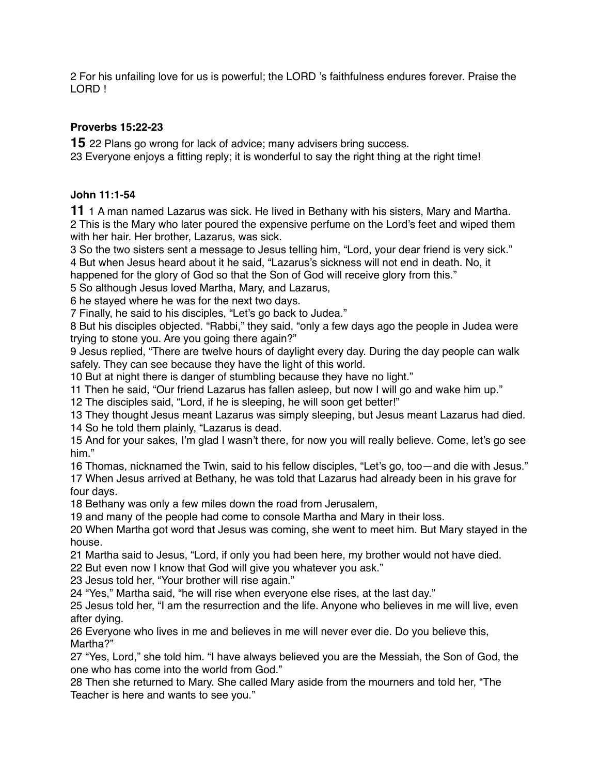For his unfailing love for us is powerful; the LORD 's faithfulness endures forever. Praise the LORD !

## **Proverbs 15:22-23**

22 Plans go wrong for lack of advice; many advisers bring success.

Everyone enjoys a fitting reply; it is wonderful to say the right thing at the right time!

## **John 11:1-54**

1 A man named Lazarus was sick. He lived in Bethany with his sisters, Mary and Martha. This is the Mary who later poured the expensive perfume on the Lord's feet and wiped them with her hair. Her brother, Lazarus, was sick.

 So the two sisters sent a message to Jesus telling him, "Lord, your dear friend is very sick." But when Jesus heard about it he said, "Lazarus's sickness will not end in death. No, it

happened for the glory of God so that the Son of God will receive glory from this."

So although Jesus loved Martha, Mary, and Lazarus,

he stayed where he was for the next two days.

Finally, he said to his disciples, "Let's go back to Judea."

 But his disciples objected. "Rabbi," they said, "only a few days ago the people in Judea were trying to stone you. Are you going there again?"

 Jesus replied, "There are twelve hours of daylight every day. During the day people can walk safely. They can see because they have the light of this world.

But at night there is danger of stumbling because they have no light."

Then he said, "Our friend Lazarus has fallen asleep, but now I will go and wake him up."

The disciples said, "Lord, if he is sleeping, he will soon get better!"

 They thought Jesus meant Lazarus was simply sleeping, but Jesus meant Lazarus had died. So he told them plainly, "Lazarus is dead.

 And for your sakes, I'm glad I wasn't there, for now you will really believe. Come, let's go see him."

 Thomas, nicknamed the Twin, said to his fellow disciples, "Let's go, too—and die with Jesus." When Jesus arrived at Bethany, he was told that Lazarus had already been in his grave for four days.

Bethany was only a few miles down the road from Jerusalem,

and many of the people had come to console Martha and Mary in their loss.

 When Martha got word that Jesus was coming, she went to meet him. But Mary stayed in the house.

Martha said to Jesus, "Lord, if only you had been here, my brother would not have died.

But even now I know that God will give you whatever you ask."

Jesus told her, "Your brother will rise again."

"Yes," Martha said, "he will rise when everyone else rises, at the last day."

 Jesus told her, "I am the resurrection and the life. Anyone who believes in me will live, even after dying.

 Everyone who lives in me and believes in me will never ever die. Do you believe this, Martha?"

 "Yes, Lord," she told him. "I have always believed you are the Messiah, the Son of God, the one who has come into the world from God."

 Then she returned to Mary. She called Mary aside from the mourners and told her, "The Teacher is here and wants to see you."